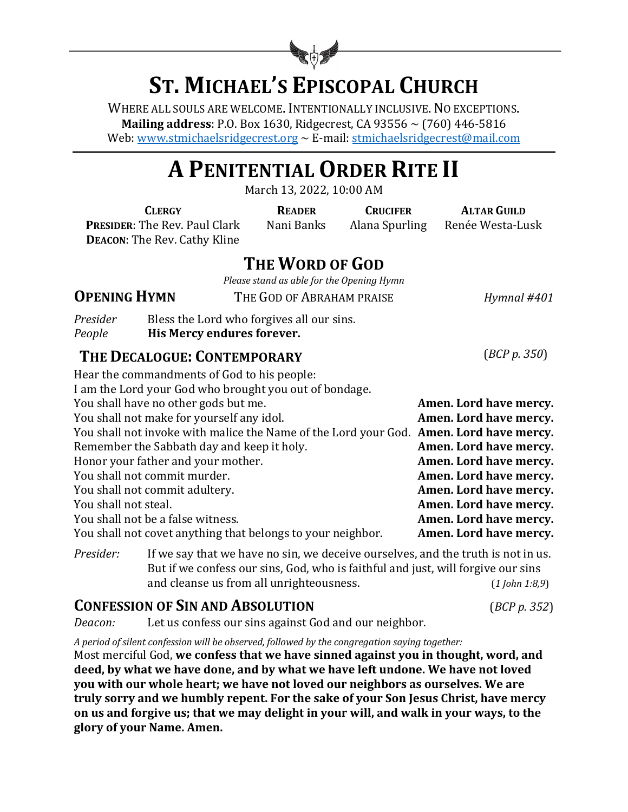

# **ST. MICHAEL'S EPISCOPAL CHURCH**

WHERE ALL SOULS ARE WELCOME. INTENTIONALLY INCLUSIVE. NO EXCEPTIONS. **Mailing address**: P.O. Box 1630, Ridgecrest, CA 93556  $\sim$  (760) 446-5816 Web: www.stmichaelsridgecrest.org  $\sim$  E-mail: stmichaelsridgecrest@mail.com

# **A PENITENTIAL ORDER RITE II**

March 13, 2022, 10:00 AM

|                      | <b>CLERGY</b><br><b>PRESIDER: The Rev. Paul Clark</b>                                                                                                                                                                                                                                                          | <b>READER</b><br>Nani Banks                                            | <b>CRUCIFER</b><br>Alana Spurling | <b>ALTAR GUILD</b><br>Renée Westa-Lusk                                                                                                                                                                                   |
|----------------------|----------------------------------------------------------------------------------------------------------------------------------------------------------------------------------------------------------------------------------------------------------------------------------------------------------------|------------------------------------------------------------------------|-----------------------------------|--------------------------------------------------------------------------------------------------------------------------------------------------------------------------------------------------------------------------|
|                      | <b>DEACON: The Rev. Cathy Kline</b>                                                                                                                                                                                                                                                                            | THE WORD OF GOD                                                        |                                   |                                                                                                                                                                                                                          |
| <b>OPENING HYMN</b>  |                                                                                                                                                                                                                                                                                                                | Please stand as able for the Opening Hymn<br>THE GOD OF ABRAHAM PRAISE |                                   | Hymnal #401                                                                                                                                                                                                              |
| Presider<br>People   | Bless the Lord who forgives all our sins.<br>His Mercy endures forever.                                                                                                                                                                                                                                        |                                                                        |                                   |                                                                                                                                                                                                                          |
|                      | THE DECALOGUE: CONTEMPORARY                                                                                                                                                                                                                                                                                    |                                                                        |                                   | (BCP p. 350)                                                                                                                                                                                                             |
|                      | Hear the commandments of God to his people:<br>I am the Lord your God who brought you out of bondage.<br>You shall have no other gods but me.<br>You shall not make for yourself any idol.<br>Remember the Sabbath day and keep it holy.<br>Honor your father and your mother.<br>You shall not commit murder. |                                                                        |                                   | Amen. Lord have mercy.<br>Amen. Lord have mercy.<br>You shall not invoke with malice the Name of the Lord your God. Amen. Lord have mercy.<br>Amen. Lord have mercy.<br>Amen. Lord have mercy.<br>Amen. Lord have mercy. |
| You shall not steal. | You shall not commit adultery.<br>You shall not be a false witness.<br>You shall not covet anything that belongs to your neighbor.                                                                                                                                                                             |                                                                        |                                   | Amen. Lord have mercy.<br>Amen. Lord have mercy.<br>Amen. Lord have mercy.<br>Amen. Lord have mercy.                                                                                                                     |
|                      |                                                                                                                                                                                                                                                                                                                |                                                                        |                                   | <i><u><u><u>Drocidory</u></u></u></i> If we can that we have no cin we deceive ourcelises and the truth is not in us                                                                                                     |

*Presider:* If we say that we have no sin, we deceive ourselves, and the truth is not in us. But if we confess our sins, God, who is faithful and just, will forgive our sins and cleanse us from all unrighteousness. (1 *John* 1:8,9)

### **CONFESSION OF SIN AND ABSOLUTION** (*BCP p.* 352)

*Deacon:* Let us confess our sins against God and our neighbor.

*A* period of silent confession will be observed, followed by the congregation saying together:

Most merciful God, we confess that we have sinned against you in thought, word, and deed, by what we have done, and by what we have left undone. We have not loved **you** with our whole heart; we have not loved our neighbors as ourselves. We are **truly sorry and we humbly repent. For the sake of your Son Jesus Christ, have mercy** on us and forgive us; that we may delight in your will, and walk in your ways, to the **glory of your Name. Amen.**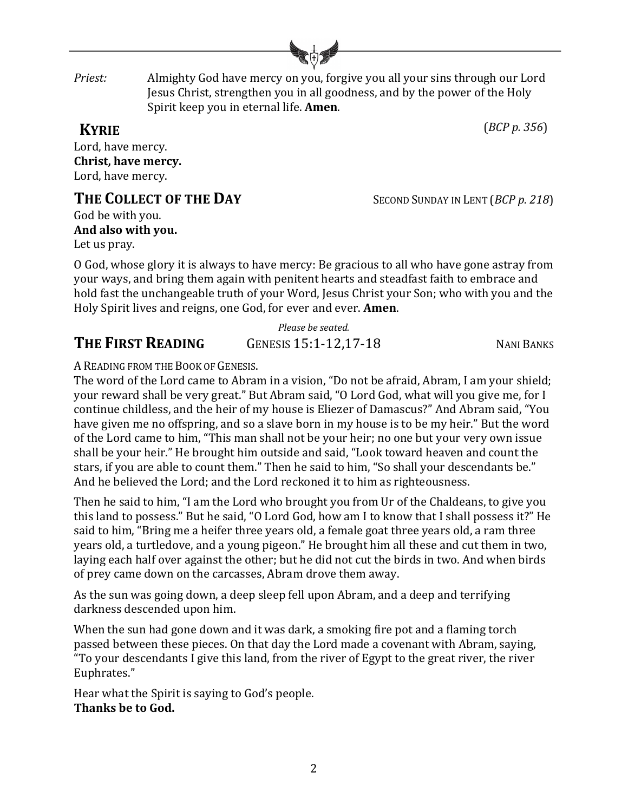*Priest:* Almighty God have mercy on you, forgive you all your sins through our Lord Jesus Christ, strengthen you in all goodness, and by the power of the Holy Spirit keep you in eternal life. **Amen**.

**KYRIE** (*BCP p.* 356)

Lord, have mercy. **Christ, have mercy.** Lord, have mercy.

**THE COLLECT OF THE DAY** SECOND SUNDAY IN LENT (*BCP* p. 218)

God be with you. **And also with you.** Let us pray.

O God, whose glory it is always to have mercy: Be gracious to all who have gone astray from your ways, and bring them again with penitent hearts and steadfast faith to embrace and hold fast the unchangeable truth of your Word, Jesus Christ your Son; who with you and the Holy Spirit lives and reigns, one God, for ever and ever. **Amen**.

| Please be seated. |                       |                   |  |  |
|-------------------|-----------------------|-------------------|--|--|
| THE FIRST READING | GENESIS 15:1-12,17-18 | <b>NANI BANKS</b> |  |  |

A READING FROM THE BOOK OF GENESIS.

The word of the Lord came to Abram in a vision, "Do not be afraid, Abram, I am your shield; your reward shall be very great." But Abram said, "O Lord God, what will you give me, for I continue childless, and the heir of my house is Eliezer of Damascus?" And Abram said, "You have given me no offspring, and so a slave born in my house is to be my heir." But the word of the Lord came to him, "This man shall not be your heir; no one but your very own issue shall be your heir." He brought him outside and said, "Look toward heaven and count the stars, if you are able to count them." Then he said to him, "So shall your descendants be." And he believed the Lord; and the Lord reckoned it to him as righteousness.

Then he said to him, "I am the Lord who brought you from Ur of the Chaldeans, to give you this land to possess." But he said, "O Lord God, how am I to know that I shall possess it?" He said to him, "Bring me a heifer three years old, a female goat three years old, a ram three years old, a turtledove, and a young pigeon." He brought him all these and cut them in two, laying each half over against the other; but he did not cut the birds in two. And when birds of prey came down on the carcasses, Abram drove them away.

As the sun was going down, a deep sleep fell upon Abram, and a deep and terrifying darkness descended upon him.

When the sun had gone down and it was dark, a smoking fire pot and a flaming torch passed between these pieces. On that day the Lord made a covenant with Abram, saying, "To your descendants I give this land, from the river of Egypt to the great river, the river Euphrates."

Hear what the Spirit is saying to God's people. **Thanks be to God.**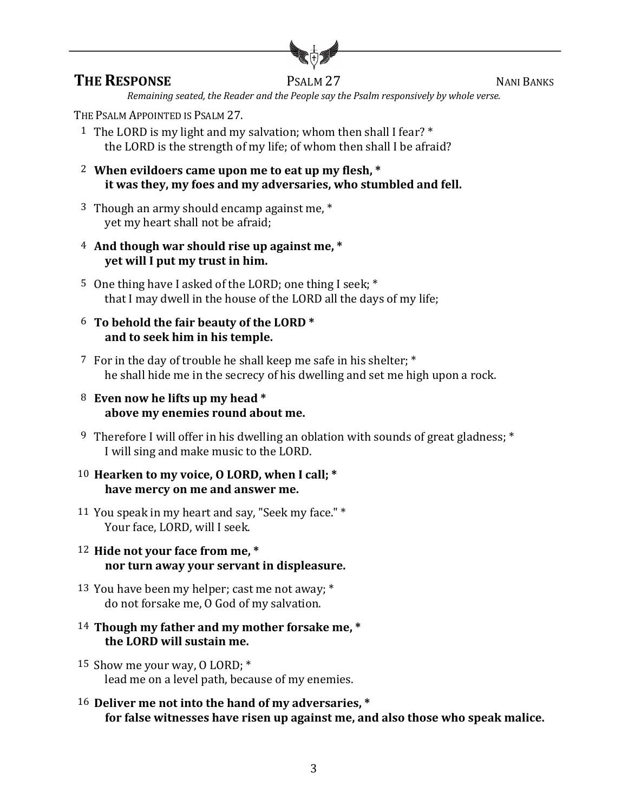

# **THE RESPONSE** PSALM 27 NANI BANKS

Remaining seated, the Reader and the People say the Psalm responsively by whole verse.

THE PSALM APPOINTED IS PSALM 27.

- 1 The LORD is my light and my salvation; whom then shall I fear?  $*$ the LORD is the strength of my life; of whom then shall I be afraid?
- <sup>2</sup> When evildoers came upon me to eat up my flesh, \* it was they, my foes and my adversaries, who stumbled and fell.
- 3 Though an army should encamp against me,  $*$ yet my heart shall not be afraid;
- 4 And though war should rise up against me, \* **vet** will I put my trust in him.
- 5 One thing have I asked of the LORD; one thing I seek; \* that I may dwell in the house of the LORD all the days of my life;
- 6 **To behold the fair beauty of the LORD \*** and to seek him in his temple.
- 7 For in the day of trouble he shall keep me safe in his shelter;  $*$ he shall hide me in the secrecy of his dwelling and set me high upon a rock.
- 8 Even now he lifts up my head \* above my enemies round about me.
- <sup>9</sup> Therefore I will offer in his dwelling an oblation with sounds of great gladness;  $*$ I will sing and make music to the LORD.

#### 10 Hearken to my voice, O LORD, when I call; \* have mercy on me and answer me.

- 11 You speak in my heart and say, "Seek my face." \* Your face, LORD, will I seek.
- 12 **Hide not your face from me,** \*  **nor turn away your servant in displeasure.**
- 13 You have been my helper; cast me not away;  $*$ do not forsake me, O God of my salvation.
- 14 **Though my father and my mother forsake me,** \* **the LORD** will sustain me.
- 15 Show me your way, 0 LORD;  $*$ lead me on a level path, because of my enemies.
- 16 Deliver me not into the hand of my adversaries, \* for false witnesses have risen up against me, and also those who speak malice.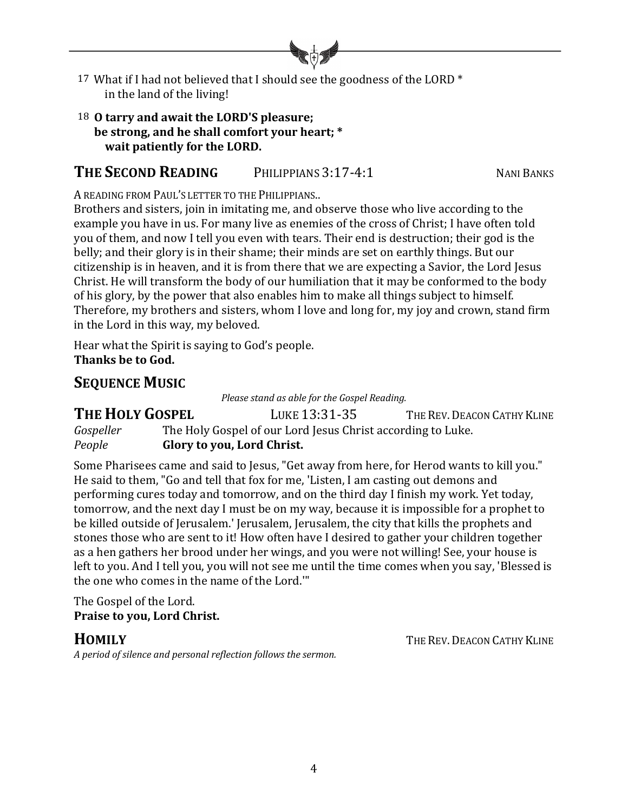

- 17 What if I had not believed that I should see the goodness of the LORD \* in the land of the living!
- 18 **O** tarry and await the LORD'S pleasure; be strong, and he shall comfort your heart; \* **wait patiently for the LORD.**

#### **THE SECOND READING** PHILIPPIANS 3:17-4:1

A READING FROM PAUL'S LETTER TO THE PHILIPPIANS..

Brothers and sisters, join in imitating me, and observe those who live according to the example you have in us. For many live as enemies of the cross of Christ; I have often told you of them, and now I tell you even with tears. Their end is destruction; their god is the belly; and their glory is in their shame; their minds are set on earthly things. But our citizenship is in heaven, and it is from there that we are expecting a Savior, the Lord Jesus Christ. He will transform the body of our humiliation that it may be conformed to the body of his glory, by the power that also enables him to make all things subject to himself. Therefore, my brothers and sisters, whom I love and long for, my joy and crown, stand firm in the Lord in this way, my beloved.

Hear what the Spirit is saying to God's people. **Thanks be to God.** 

# **SEQUENCE MUSIC**

*Please stand as able for the Gospel Reading.*

**THE HOLY GOSPEL** LUKE 13:31-35 THE REV. DEACON CATHY KLINE *Gospeller* The Holy Gospel of our Lord Jesus Christ according to Luke. **People Glory to you, Lord Christ.** 

Some Pharisees came and said to Jesus, "Get away from here, for Herod wants to kill you." He said to them, "Go and tell that fox for me, 'Listen, I am casting out demons and performing cures today and tomorrow, and on the third day I finish my work. Yet today, tomorrow, and the next day I must be on my way, because it is impossible for a prophet to be killed outside of Jerusalem.' Jerusalem, Jerusalem, the city that kills the prophets and stones those who are sent to it! How often have I desired to gather your children together as a hen gathers her brood under her wings, and you were not willing! See, your house is left to you. And I tell you, you will not see me until the time comes when you say, 'Blessed is the one who comes in the name of the Lord."

The Gospel of the Lord. **Praise to you, Lord Christ.** 

**HOMILY** THE REV. DEACON CATHY KLINE *A period of silence and personal reflection follows the sermon.*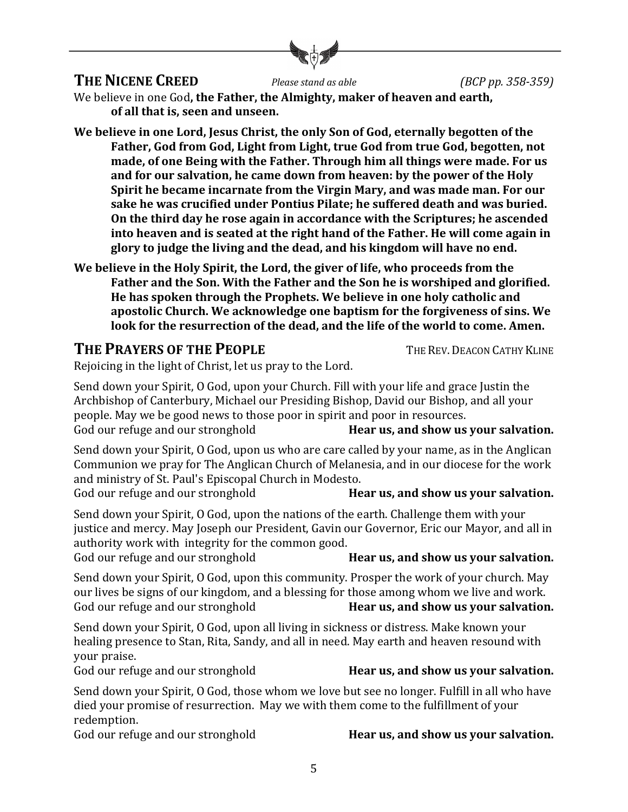# **THE NICENE CREED** *Please stand as able (BCP pp. 358-359)*

We believe in one God, the Father, the Almighty, maker of heaven and earth, of all that is, seen and unseen.

We believe in one Lord, Jesus Christ, the only Son of God, eternally begotten of the Father, God from God, Light from Light, true God from true God, begotten, not made, of one Being with the Father. Through him all things were made. For us and for our salvation, he came down from heaven: by the power of the Holy **Spirit he became incarnate from the Virgin Mary, and was made man. For our** sake he was crucified under Pontius Pilate; he suffered death and was buried. On the third day he rose again in accordance with the Scriptures; he ascended into heaven and is seated at the right hand of the Father. He will come again in glory to judge the living and the dead, and his kingdom will have no end.

We believe in the Holy Spirit, the Lord, the giver of life, who proceeds from the Father and the Son. With the Father and the Son he is worshiped and glorified. He has spoken through the Prophets. We believe in one holy catholic and apostolic Church. We acknowledge one baptism for the forgiveness of sins. We look for the resurrection of the dead, and the life of the world to come. Amen.

### **THE PRAYERS OF THE PEOPLE** THE **REV. DEACON CATHY KLINE**

Rejoicing in the light of Christ, let us pray to the Lord.

Send down your Spirit, O God, upon your Church. Fill with your life and grace Justin the Archbishop of Canterbury, Michael our Presiding Bishop, David our Bishop, and all your people. May we be good news to those poor in spirit and poor in resources. God our refuge and our stronghold **Hear us, and show us your salvation.** 

Send down your Spirit, O God, upon us who are care called by your name, as in the Anglican Communion we pray for The Anglican Church of Melanesia, and in our diocese for the work and ministry of St. Paul's Episcopal Church in Modesto.

God our refuge and our stronghold **Hear us, and show us your salvation.** 

Send down your Spirit, O God, upon the nations of the earth. Challenge them with your justice and mercy. May Joseph our President, Gavin our Governor, Eric our Mayor, and all in authority work with integrity for the common good. God our refuge and our stronghold **Hear us, and show us your salvation.** 

Send down your Spirit, O God, upon this community. Prosper the work of your church. May our lives be signs of our kingdom, and a blessing for those among whom we live and work. God our refuge and our stronghold **Hear us, and show us your salvation.** 

Send down your Spirit, O God, upon all living in sickness or distress. Make known your healing presence to Stan, Rita, Sandy, and all in need. May earth and heaven resound with your praise.

God our refuge and our stronghold **Hear us, and show us your salvation.** 

Send down your Spirit, O God, those whom we love but see no longer. Fulfill in all who have died your promise of resurrection. May we with them come to the fulfillment of your redemption.

God our refuge and our stronghold **Hear us, and show us your salvation.** 

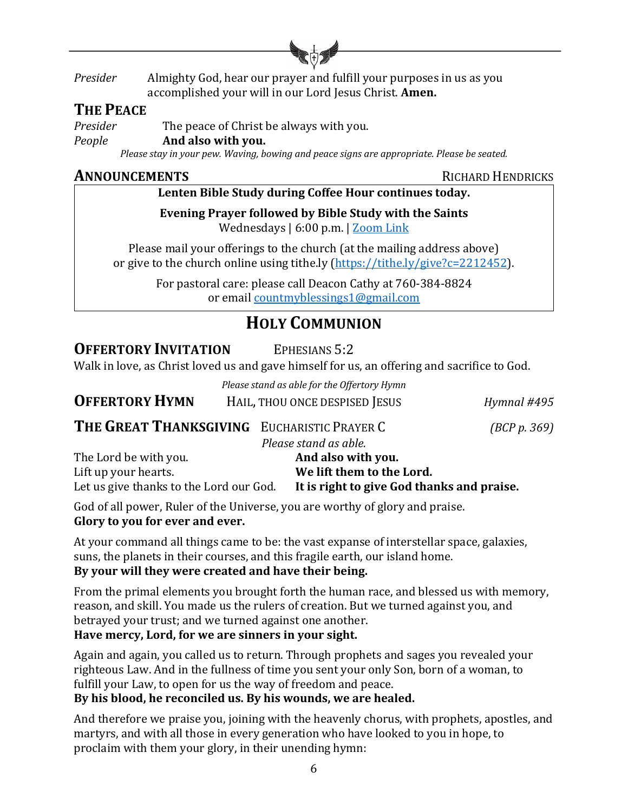*Presider* Almighty God, hear our prayer and fulfill your purposes in us as you accomplished your will in our Lord Jesus Christ. Amen.

### **THE PEACE**

*Presider* The peace of Christ be always with you. *People* **And also with you.** 

Please stay in your pew. Waving, bowing and peace signs are appropriate. Please be seated.

#### **ANNOUNCEMENTS** RICHARD HENDRICKS

#### Lenten Bible Study during Coffee Hour continues today.

**Evening Prayer followed by Bible Study with the Saints** Wednesdays | 6:00 p.m. | Zoom Link

Please mail your offerings to the church (at the mailing address above) or give to the church online using tithe.ly  $(https://tithe.ly/give?c=2212452)$ .

> For pastoral care: please call Deacon Cathy at 760-384-8824 or email countmyblessings1@gmail.com

# **HOLY COMMUNION**

#### **OFFERTORY INVITATION** EPHESIANS 5:2

Walk in love, as Christ loved us and gave himself for us, an offering and sacrifice to God.

|                       |                                             | Hymnal #495 |
|-----------------------|---------------------------------------------|-------------|
| <b>OFFERTORY HYMN</b> | HAIL, THOU ONCE DESPISED JESUS              |             |
|                       | Please stand as able for the Offertory Hymn |             |

## **THE GREAT THANKSGIVING** EUCHARISTIC PRAYER C *(BCP p. 369)*

*Please stand as able.* The Lord be with you. **And also with you.** Lift up your hearts. **We lift them to the Lord.** Let us give thanks to the Lord our God. It is right to give God thanks and praise.

God of all power, Ruler of the Universe, you are worthy of glory and praise. **Glory to you for ever and ever.** 

At your command all things came to be: the vast expanse of interstellar space, galaxies, suns, the planets in their courses, and this fragile earth, our island home. By your will they were created and have their being.

#### From the primal elements you brought forth the human race, and blessed us with memory, reason, and skill. You made us the rulers of creation. But we turned against you, and betrayed your trust; and we turned against one another.

Have mercy, Lord, for we are sinners in your sight.

Again and again, you called us to return. Through prophets and sages you revealed your righteous Law. And in the fullness of time you sent your only Son, born of a woman, to fulfill your Law, to open for us the way of freedom and peace.

By his blood, he reconciled us. By his wounds, we are healed.

And therefore we praise you, joining with the heavenly chorus, with prophets, apostles, and martyrs, and with all those in every generation who have looked to you in hope, to proclaim with them your glory, in their unending hymn: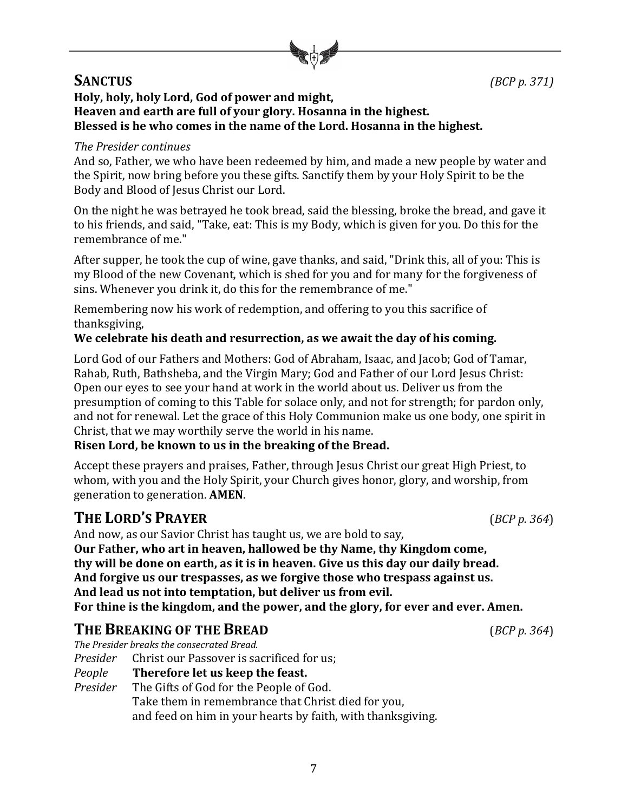

#### Holy, holy, holy Lord, God of power and might, Heaven and earth are full of your glory. Hosanna in the highest. **Blessed is he who comes in the name of the Lord. Hosanna in the highest.**

#### *The Presider continues*

And so, Father, we who have been redeemed by him, and made a new people by water and the Spirit, now bring before you these gifts. Sanctify them by your Holy Spirit to be the Body and Blood of Jesus Christ our Lord.

On the night he was betrayed he took bread, said the blessing, broke the bread, and gave it to his friends, and said, "Take, eat: This is my Body, which is given for you. Do this for the remembrance of me."

After supper, he took the cup of wine, gave thanks, and said, "Drink this, all of you: This is my Blood of the new Covenant, which is shed for you and for many for the forgiveness of sins. Whenever you drink it, do this for the remembrance of me."

Remembering now his work of redemption, and offering to you this sacrifice of thanksgiving,

#### We celebrate his death and resurrection, as we await the day of his coming.

Lord God of our Fathers and Mothers: God of Abraham, Isaac, and Jacob; God of Tamar, Rahab, Ruth, Bathsheba, and the Virgin Mary; God and Father of our Lord Jesus Christ: Open our eyes to see your hand at work in the world about us. Deliver us from the presumption of coming to this Table for solace only, and not for strength; for pardon only, and not for renewal. Let the grace of this Holy Communion make us one body, one spirit in Christ, that we may worthily serve the world in his name.

#### Risen Lord, be known to us in the breaking of the Bread.

Accept these prayers and praises, Father, through Jesus Christ our great High Priest, to whom, with you and the Holy Spirit, your Church gives honor, glory, and worship, from generation to generation. **AMEN**.

# **THE LORD'S PRAYER** (*BCP p.* 364)

And now, as our Savior Christ has taught us, we are bold to say, Our Father, who art in heaven, hallowed be thy Name, thy Kingdom come, thy will be done on earth, as it is in heaven. Give us this day our daily bread. And forgive us our trespasses, as we forgive those who trespass against us. And lead us not into temptation, but deliver us from evil. For thine is the kingdom, and the power, and the glory, for ever and ever. Amen.

## **THE BREAKING OF THE BREAD** (*BCP p.* 364)

*The Presider breaks the consecrated Bread.* 

| Presider | Christ our Passover is sacrificed for us;                   |  |  |
|----------|-------------------------------------------------------------|--|--|
| People   | Therefore let us keep the feast.                            |  |  |
| Presider | The Gifts of God for the People of God.                     |  |  |
|          | Take them in remembrance that Christ died for you,          |  |  |
|          | and feed on him in your hearts by faith, with thanksgiving. |  |  |